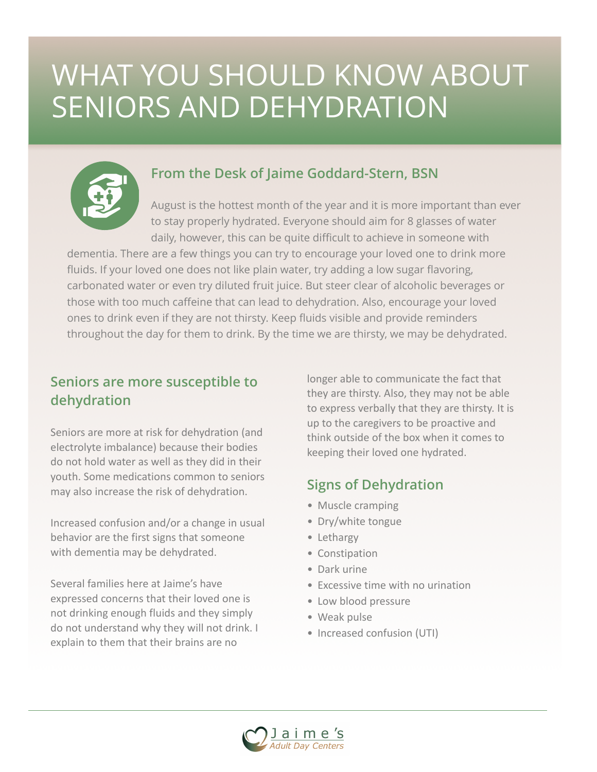## WHAT YOU SHOULD KNOW ABOUT SENIORS AND DEHYDRATION



#### **From the Desk of Jaime Goddard-Stern, BSN**

August is the hottest month of the year and it is more important than ever to stay properly hydrated. Everyone should aim for 8 glasses of water daily, however, this can be quite difficult to achieve in someone with

dementia. There are a few things you can try to encourage your loved one to drink more fluids. If your loved one does not like plain water, try adding a low sugar flavoring, carbonated water or even try diluted fruit juice. But steer clear of alcoholic beverages or those with too much caffeine that can lead to dehydration. Also, encourage your loved ones to drink even if they are not thirsty. Keep fluids visible and provide reminders throughout the day for them to drink. By the time we are thirsty, we may be dehydrated.

#### **Seniors are more susceptible to dehydration**

Seniors are more at risk for dehydration (and electrolyte imbalance) because their bodies do not hold water as well as they did in their vouth. Some medications common to seniors may also increase the risk of dehydration.

Increased confusion and/or a change in usual behavior are the first signs that someone with dementia may be dehydrated.

Several families here at Jaime's have expressed concerns that their loved one is not drinking enough fluids and they simply do not understand why they will not drink. I explain to them that their brains are no

longer able to communicate the fact that they are thirsty. Also, they may not be able to express verbally that they are thirsty. It is up to the caregivers to be proactive and think outside of the box when it comes to keeping their loved one hydrated.

#### **Signs of Dehydration**

- Muscle cramping
- Dry/white tongue
- Lethargy
- Constipation
- Dark urine
- Excessive time with no urination
- Low blood pressure
- Weak pulse
- Increased confusion (UTI)